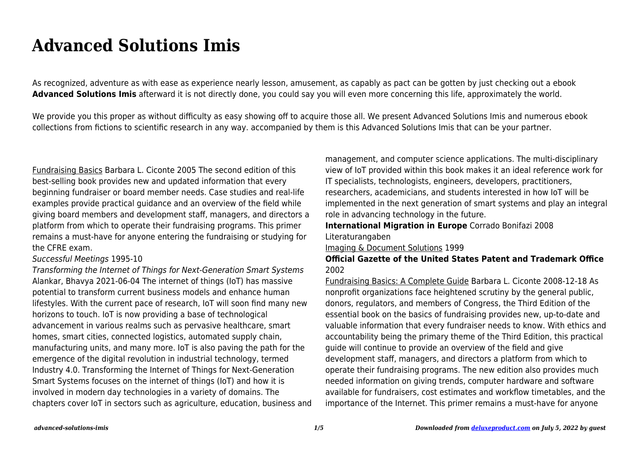# **Advanced Solutions Imis**

As recognized, adventure as with ease as experience nearly lesson, amusement, as capably as pact can be gotten by just checking out a ebook **Advanced Solutions Imis** afterward it is not directly done, you could say you will even more concerning this life, approximately the world.

We provide you this proper as without difficulty as easy showing off to acquire those all. We present Advanced Solutions Imis and numerous ebook collections from fictions to scientific research in any way. accompanied by them is this Advanced Solutions Imis that can be your partner.

Fundraising Basics Barbara L. Ciconte 2005 The second edition of this best-selling book provides new and updated information that every beginning fundraiser or board member needs. Case studies and real-life examples provide practical guidance and an overview of the field while giving board members and development staff, managers, and directors a platform from which to operate their fundraising programs. This primer remains a must-have for anyone entering the fundraising or studying for the CFRE exam.

#### Successful Meetings 1995-10

Transforming the Internet of Things for Next-Generation Smart Systems Alankar, Bhavya 2021-06-04 The internet of things (IoT) has massive potential to transform current business models and enhance human lifestyles. With the current pace of research, IoT will soon find many new horizons to touch. IoT is now providing a base of technological advancement in various realms such as pervasive healthcare, smart homes, smart cities, connected logistics, automated supply chain, manufacturing units, and many more. IoT is also paving the path for the emergence of the digital revolution in industrial technology, termed Industry 4.0. Transforming the Internet of Things for Next-Generation Smart Systems focuses on the internet of things (IoT) and how it is involved in modern day technologies in a variety of domains. The chapters cover IoT in sectors such as agriculture, education, business and management, and computer science applications. The multi-disciplinary view of IoT provided within this book makes it an ideal reference work for IT specialists, technologists, engineers, developers, practitioners, researchers, academicians, and students interested in how IoT will be implemented in the next generation of smart systems and play an integral role in advancing technology in the future.

**International Migration in Europe** Corrado Bonifazi 2008 Literaturangaben

#### Imaging & Document Solutions 1999

### **Official Gazette of the United States Patent and Trademark Office** 2002

Fundraising Basics: A Complete Guide Barbara L. Ciconte 2008-12-18 As nonprofit organizations face heightened scrutiny by the general public, donors, regulators, and members of Congress, the Third Edition of the essential book on the basics of fundraising provides new, up-to-date and valuable information that every fundraiser needs to know. With ethics and accountability being the primary theme of the Third Edition, this practical guide will continue to provide an overview of the field and give development staff, managers, and directors a platform from which to operate their fundraising programs. The new edition also provides much needed information on giving trends, computer hardware and software available for fundraisers, cost estimates and workflow timetables, and the importance of the Internet. This primer remains a must-have for anyone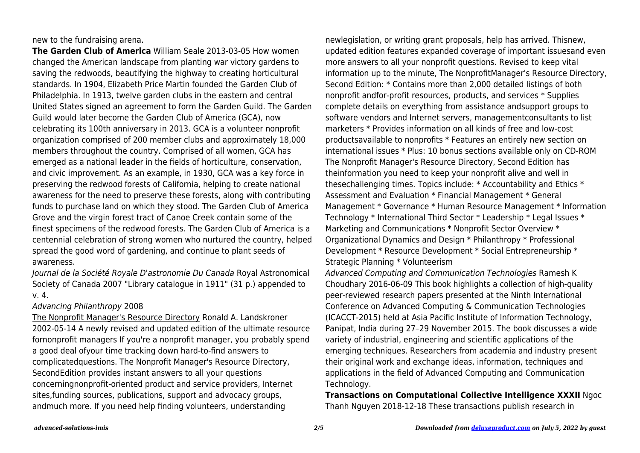new to the fundraising arena.

**The Garden Club of America** William Seale 2013-03-05 How women changed the American landscape from planting war victory gardens to saving the redwoods, beautifying the highway to creating horticultural standards. In 1904, Elizabeth Price Martin founded the Garden Club of Philadelphia. In 1913, twelve garden clubs in the eastern and central United States signed an agreement to form the Garden Guild. The Garden Guild would later become the Garden Club of America (GCA), now celebrating its 100th anniversary in 2013. GCA is a volunteer nonprofit organization comprised of 200 member clubs and approximately 18,000 members throughout the country. Comprised of all women, GCA has emerged as a national leader in the fields of horticulture, conservation, and civic improvement. As an example, in 1930, GCA was a key force in preserving the redwood forests of California, helping to create national awareness for the need to preserve these forests, along with contributing funds to purchase land on which they stood. The Garden Club of America Grove and the virgin forest tract of Canoe Creek contain some of the finest specimens of the redwood forests. The Garden Club of America is a centennial celebration of strong women who nurtured the country, helped spread the good word of gardening, and continue to plant seeds of awareness.

Journal de la Société Royale D'astronomie Du Canada Royal Astronomical Society of Canada 2007 "Library catalogue in 1911" (31 p.) appended to v. 4.

## Advancing Philanthropy 2008

The Nonprofit Manager's Resource Directory Ronald A. Landskroner 2002-05-14 A newly revised and updated edition of the ultimate resource fornonprofit managers If you're a nonprofit manager, you probably spend a good deal ofyour time tracking down hard-to-find answers to complicatedquestions. The Nonprofit Manager's Resource Directory, SecondEdition provides instant answers to all your questions concerningnonprofit-oriented product and service providers, Internet sites,funding sources, publications, support and advocacy groups, andmuch more. If you need help finding volunteers, understanding

newlegislation, or writing grant proposals, help has arrived. Thisnew, updated edition features expanded coverage of important issuesand even more answers to all your nonprofit questions. Revised to keep vital information up to the minute, The NonprofitManager's Resource Directory, Second Edition: \* Contains more than 2,000 detailed listings of both nonprofit andfor-profit resources, products, and services \* Supplies complete details on everything from assistance andsupport groups to software vendors and Internet servers, managementconsultants to list marketers \* Provides information on all kinds of free and low-cost productsavailable to nonprofits \* Features an entirely new section on international issues \* Plus: 10 bonus sections available only on CD-ROM The Nonprofit Manager's Resource Directory, Second Edition has theinformation you need to keep your nonprofit alive and well in thesechallenging times. Topics include: \* Accountability and Ethics \* Assessment and Evaluation \* Financial Management \* General Management \* Governance \* Human Resource Management \* Information Technology \* International Third Sector \* Leadership \* Legal Issues \* Marketing and Communications \* Nonprofit Sector Overview \* Organizational Dynamics and Design \* Philanthropy \* Professional Development \* Resource Development \* Social Entrepreneurship \* Strategic Planning \* Volunteerism

Advanced Computing and Communication Technologies Ramesh K Choudhary 2016-06-09 This book highlights a collection of high-quality peer-reviewed research papers presented at the Ninth International Conference on Advanced Computing & Communication Technologies (ICACCT-2015) held at Asia Pacific Institute of Information Technology, Panipat, India during 27–29 November 2015. The book discusses a wide variety of industrial, engineering and scientific applications of the emerging techniques. Researchers from academia and industry present their original work and exchange ideas, information, techniques and applications in the field of Advanced Computing and Communication Technology.

**Transactions on Computational Collective Intelligence XXXII** Ngoc Thanh Nguyen 2018-12-18 These transactions publish research in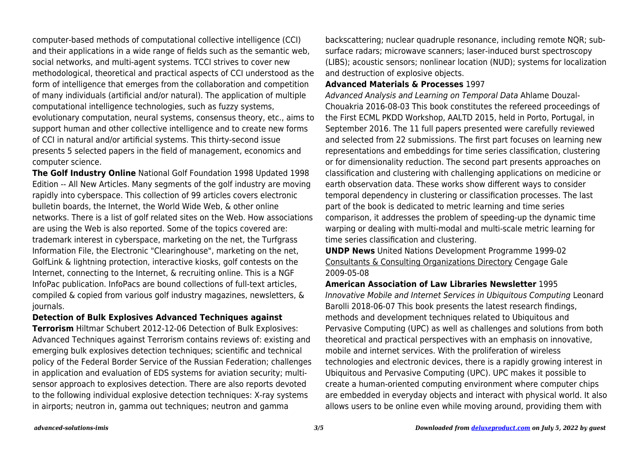computer-based methods of computational collective intelligence (CCI) and their applications in a wide range of fields such as the semantic web, social networks, and multi-agent systems. TCCI strives to cover new methodological, theoretical and practical aspects of CCI understood as the form of intelligence that emerges from the collaboration and competition of many individuals (artificial and/or natural). The application of multiple computational intelligence technologies, such as fuzzy systems, evolutionary computation, neural systems, consensus theory, etc., aims to support human and other collective intelligence and to create new forms of CCI in natural and/or artificial systems. This thirty-second issue presents 5 selected papers in the field of management, economics and computer science.

**The Golf Industry Online** National Golf Foundation 1998 Updated 1998 Edition -- All New Articles. Many segments of the golf industry are moving rapidly into cyberspace. This collection of 99 articles covers electronic bulletin boards, the Internet, the World Wide Web, & other online networks. There is a list of golf related sites on the Web. How associations are using the Web is also reported. Some of the topics covered are: trademark interest in cyberspace, marketing on the net, the Turfgrass Information File, the Electronic "Clearinghouse", marketing on the net, GolfLink & lightning protection, interactive kiosks, golf contests on the Internet, connecting to the Internet, & recruiting online. This is a NGF InfoPac publication. InfoPacs are bound collections of full-text articles, compiled & copied from various golf industry magazines, newsletters, & journals.

**Detection of Bulk Explosives Advanced Techniques against**

**Terrorism** Hiltmar Schubert 2012-12-06 Detection of Bulk Explosives: Advanced Techniques against Terrorism contains reviews of: existing and emerging bulk explosives detection techniques; scientific and technical policy of the Federal Border Service of the Russian Federation; challenges in application and evaluation of EDS systems for aviation security; multisensor approach to explosives detection. There are also reports devoted to the following individual explosive detection techniques: X-ray systems in airports; neutron in, gamma out techniques; neutron and gamma

backscattering; nuclear quadruple resonance, including remote NQR; subsurface radars; microwave scanners; laser-induced burst spectroscopy (LIBS); acoustic sensors; nonlinear location (NUD); systems for localization and destruction of explosive objects.

#### **Advanced Materials & Processes** 1997

Advanced Analysis and Learning on Temporal Data Ahlame Douzal-Chouakria 2016-08-03 This book constitutes the refereed proceedings of the First ECML PKDD Workshop, AALTD 2015, held in Porto, Portugal, in September 2016. The 11 full papers presented were carefully reviewed and selected from 22 submissions. The first part focuses on learning new representations and embeddings for time series classification, clustering or for dimensionality reduction. The second part presents approaches on classification and clustering with challenging applications on medicine or earth observation data. These works show different ways to consider temporal dependency in clustering or classification processes. The last part of the book is dedicated to metric learning and time series comparison, it addresses the problem of speeding-up the dynamic time warping or dealing with multi-modal and multi-scale metric learning for time series classification and clustering.

**UNDP News** United Nations Development Programme 1999-02 Consultants & Consulting Organizations Directory Cengage Gale 2009-05-08

#### **American Association of Law Libraries Newsletter** 1995

Innovative Mobile and Internet Services in Ubiquitous Computing Leonard Barolli 2018-06-07 This book presents the latest research findings, methods and development techniques related to Ubiquitous and Pervasive Computing (UPC) as well as challenges and solutions from both theoretical and practical perspectives with an emphasis on innovative, mobile and internet services. With the proliferation of wireless technologies and electronic devices, there is a rapidly growing interest in Ubiquitous and Pervasive Computing (UPC). UPC makes it possible to create a human-oriented computing environment where computer chips are embedded in everyday objects and interact with physical world. It also allows users to be online even while moving around, providing them with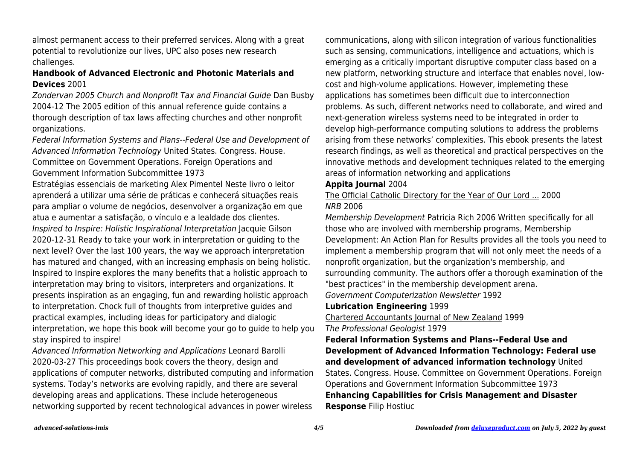almost permanent access to their preferred services. Along with a great potential to revolutionize our lives, UPC also poses new research challenges.

## **Handbook of Advanced Electronic and Photonic Materials and Devices** 2001

Zondervan 2005 Church and Nonprofit Tax and Financial Guide Dan Busby 2004-12 The 2005 edition of this annual reference guide contains a thorough description of tax laws affecting churches and other nonprofit organizations.

Federal Information Systems and Plans--Federal Use and Development of Advanced Information Technology United States. Congress. House. Committee on Government Operations. Foreign Operations and Government Information Subcommittee 1973

Estratégias essenciais de marketing Alex Pimentel Neste livro o leitor aprenderá a utilizar uma série de práticas e conhecerá situações reais para ampliar o volume de negócios, desenvolver a organização em que atua e aumentar a satisfação, o vínculo e a lealdade dos clientes. Inspired to Inspire: Holistic Inspirational Interpretation Jacquie Gilson 2020-12-31 Ready to take your work in interpretation or guiding to the next level? Over the last 100 years, the way we approach interpretation has matured and changed, with an increasing emphasis on being holistic. Inspired to Inspire explores the many benefits that a holistic approach to interpretation may bring to visitors, interpreters and organizations. It presents inspiration as an engaging, fun and rewarding holistic approach to interpretation. Chock full of thoughts from interpretive guides and practical examples, including ideas for participatory and dialogic interpretation, we hope this book will become your go to guide to help you stay inspired to inspire!

Advanced Information Networking and Applications Leonard Barolli 2020-03-27 This proceedings book covers the theory, design and applications of computer networks, distributed computing and information systems. Today's networks are evolving rapidly, and there are several developing areas and applications. These include heterogeneous networking supported by recent technological advances in power wireless

communications, along with silicon integration of various functionalities such as sensing, communications, intelligence and actuations, which is emerging as a critically important disruptive computer class based on a new platform, networking structure and interface that enables novel, lowcost and high-volume applications. However, implemeting these applications has sometimes been difficult due to interconnection problems. As such, different networks need to collaborate, and wired and next-generation wireless systems need to be integrated in order to develop high-performance computing solutions to address the problems arising from these networks' complexities. This ebook presents the latest research findings, as well as theoretical and practical perspectives on the innovative methods and development techniques related to the emerging areas of information networking and applications

### **Appita Journal** 2004

The Official Catholic Directory for the Year of Our Lord ... 2000 NRB 2006

Membership Development Patricia Rich 2006 Written specifically for all those who are involved with membership programs, Membership Development: An Action Plan for Results provides all the tools you need to implement a membership program that will not only meet the needs of a nonprofit organization, but the organization's membership, and surrounding community. The authors offer a thorough examination of the "best practices" in the membership development arena.

Government Computerization Newsletter 1992

#### **Lubrication Engineering** 1999

Chartered Accountants Journal of New Zealand 1999 The Professional Geologist 1979

**Federal Information Systems and Plans--Federal Use and Development of Advanced Information Technology: Federal use and development of advanced information technology** United States. Congress. House. Committee on Government Operations. Foreign Operations and Government Information Subcommittee 1973 **Enhancing Capabilities for Crisis Management and Disaster Response** Filip Hostiuc